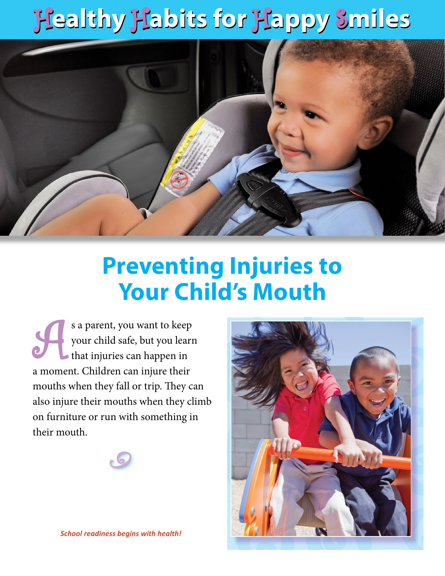## H**ealthy** H**abits for** H**appy** S**miles** H**ealthy** H**abits for** H**appy** S**miles**



## **Preventing Injuries to Your Child's Mouth**

s a parent, you want to keep<br>your child safe, but you learn<br>that injuries can happen in your child safe, but you learn that injuries can happen in a moment. Children can injure their mouths when they fall or trip. They can also injure their mouths when they climb on furniture or run with something in their mouth.





*School readiness begins with health!*